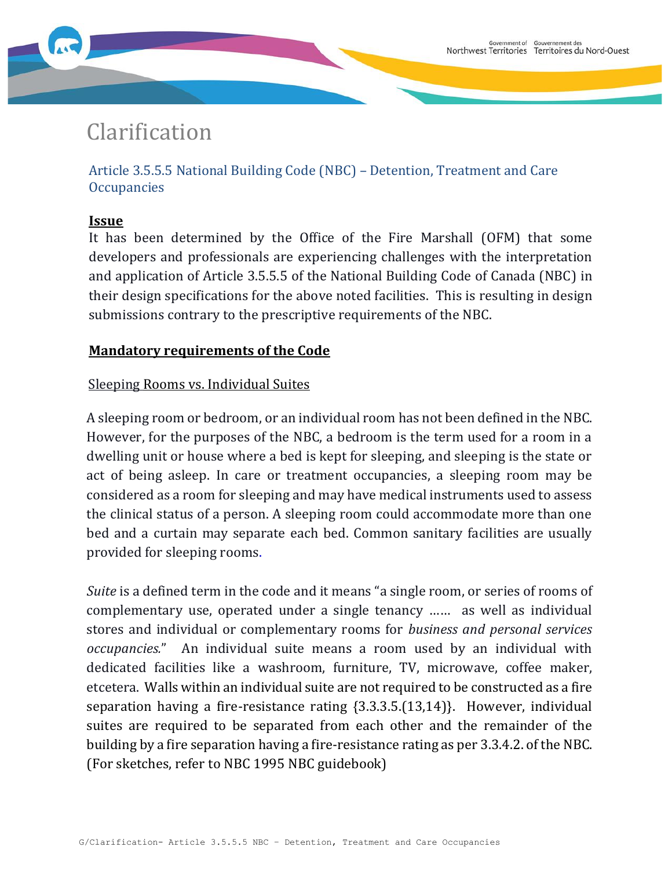# Clarification

Article 3.5.5.5 National Building Code (NBC) – Detention, Treatment and Care **Occupancies** 

## **Issue**

It has been determined by the Office of the Fire Marshall (OFM) that some developers and professionals are experiencing challenges with the interpretation and application of Article 3.5.5.5 of the National Building Code of Canada (NBC) in their design specifications for the above noted facilities. This is resulting in design submissions contrary to the prescriptive requirements of the NBC.

## **Mandatory requirements of the Code**

## Sleeping Rooms vs. Individual Suites

A sleeping room or bedroom, or an individual room has not been defined in the NBC. However, for the purposes of the NBC, a bedroom is the term used for a room in a dwelling unit or house where a bed is kept for sleeping, and sleeping is the state or act of being asleep. In care or treatment occupancies, a sleeping room may be considered as a room for sleeping and may have medical instruments used to assess the clinical status of a person. A sleeping room could accommodate more than one bed and a curtain may separate each bed. Common sanitary facilities are usually provided for sleeping rooms.

*Suite* is a defined term in the code and it means "a single room, or series of rooms of complementary use, operated under a single tenancy …… as well as individual stores and individual or complementary rooms for *business and personal services occupancies.*" An individual suite means a room used by an individual with dedicated facilities like a washroom, furniture, TV, microwave, coffee maker, etcetera. Walls within an individual suite are not required to be constructed as a fire separation having a fire-resistance rating {3.3.3.5.(13,14)}. However, individual suites are required to be separated from each other and the remainder of the building by a fire separation having a fire-resistance rating as per 3.3.4.2. of the NBC. (For sketches, refer to NBC 1995 NBC guidebook)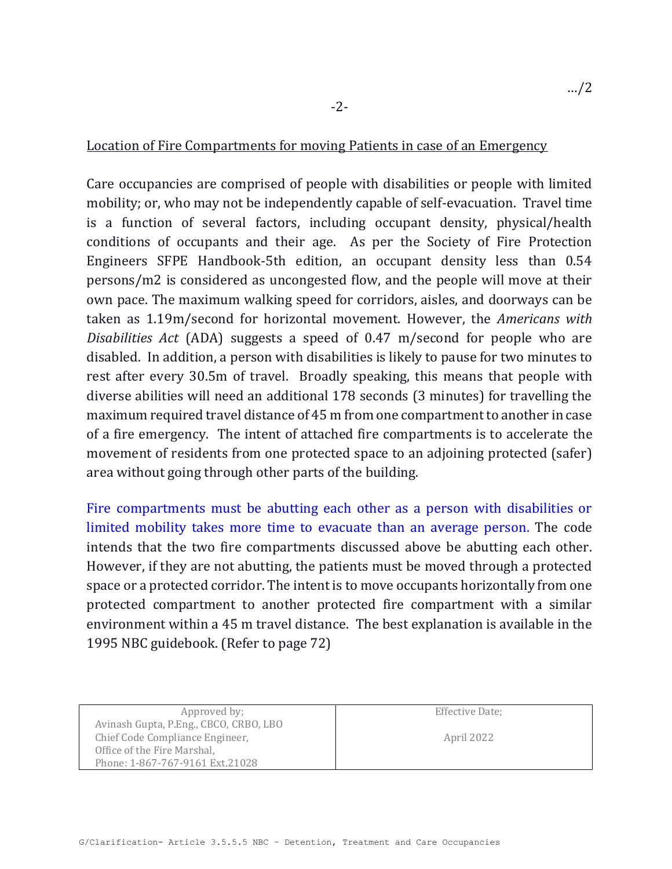### Location of Fire Compartments for moving Patients in case of an Emergency

Care occupancies are comprised of people with disabilities or people with limited mobility; or, who may not be independently capable of self-evacuation. Travel time is a function of several factors, including occupant density, physical/health conditions of occupants and their age. As per the Society of Fire Protection Engineers SFPE Handbook-5th edition, an occupant density less than 0.54 persons/m2 is considered as uncongested flow, and the people will move at their own pace. The maximum walking speed for corridors, aisles, and doorways can be taken as 1.19m/second for horizontal movement. However, the *Americans with Disabilities Act* (ADA) suggests a speed of 0.47 m/second for people who are disabled. In addition, a person with disabilities is likely to pause for two minutes to rest after every 30.5m of travel. Broadly speaking, this means that people with diverse abilities will need an additional 178 seconds (3 minutes) for travelling the maximum required travel distance of 45 m from one compartment to another in case of a fire emergency. The intent of attached fire compartments is to accelerate the movement of residents from one protected space to an adjoining protected (safer) area without going through other parts of the building.

Fire compartments must be abutting each other as a person with disabilities or limited mobility takes more time to evacuate than an average person. The code intends that the two fire compartments discussed above be abutting each other. However, if they are not abutting, the patients must be moved through a protected space or a protected corridor. The intent is to move occupants horizontally from one protected compartment to another protected fire compartment with a similar environment within a 45 m travel distance. The best explanation is available in the 1995 NBC guidebook. (Refer to page 72)

Approved by; Avinash Gupta, P.Eng., CBCO, CRBO, LBO Chief Code Compliance Engineer, Office of the Fire Marshal, Phone: 1-867-767-9161 Ext.21028

Effective Date;

April 2022